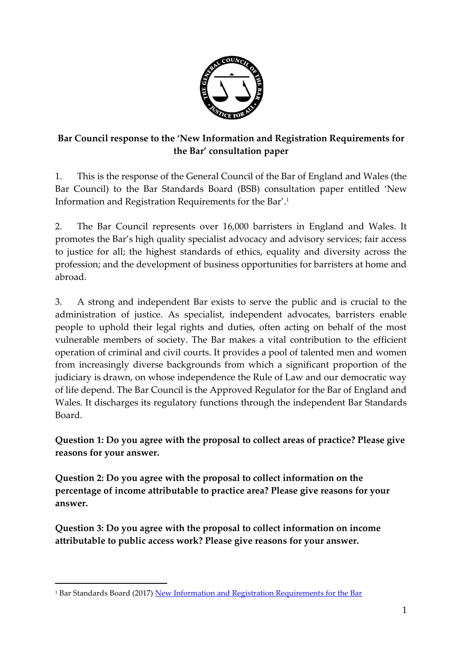

## **Bar Council response to the 'New Information and Registration Requirements for the Bar' consultation paper**

1. This is the response of the General Council of the Bar of England and Wales (the Bar Council) to the Bar Standards Board (BSB) consultation paper entitled 'New Information and Registration Requirements for the Bar'. 1

2. The Bar Council represents over 16,000 barristers in England and Wales. It promotes the Bar's high quality specialist advocacy and advisory services; fair access to justice for all; the highest standards of ethics, equality and diversity across the profession; and the development of business opportunities for barristers at home and abroad.

3. A strong and independent Bar exists to serve the public and is crucial to the administration of justice. As specialist, independent advocates, barristers enable people to uphold their legal rights and duties, often acting on behalf of the most vulnerable members of society. The Bar makes a vital contribution to the efficient operation of criminal and civil courts. It provides a pool of talented men and women from increasingly diverse backgrounds from which a significant proportion of the judiciary is drawn, on whose independence the Rule of Law and our democratic way of life depend. The Bar Council is the Approved Regulator for the Bar of England and Wales. It discharges its regulatory functions through the independent Bar Standards Board.

**Question 1: Do you agree with the proposal to collect areas of practice? Please give reasons for your answer.** 

**Question 2: Do you agree with the proposal to collect information on the percentage of income attributable to practice area? Please give reasons for your answer.** 

**Question 3: Do you agree with the proposal to collect information on income attributable to public access work? Please give reasons for your answer.**

l

<sup>&</sup>lt;sup>1</sup> Bar Standards Board (2017) [New Information and Registration Requirements for the Bar](https://www.barstandardsboard.org.uk/media/1834166/draft_consultation_paper__006__jwrwchem_amendments_v3.pdf)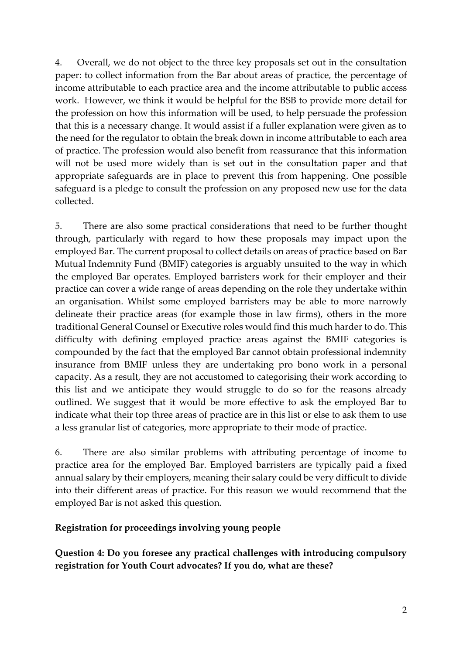4. Overall, we do not object to the three key proposals set out in the consultation paper: to collect information from the Bar about areas of practice, the percentage of income attributable to each practice area and the income attributable to public access work. However, we think it would be helpful for the BSB to provide more detail for the profession on how this information will be used, to help persuade the profession that this is a necessary change. It would assist if a fuller explanation were given as to the need for the regulator to obtain the break down in income attributable to each area of practice. The profession would also benefit from reassurance that this information will not be used more widely than is set out in the consultation paper and that appropriate safeguards are in place to prevent this from happening. One possible safeguard is a pledge to consult the profession on any proposed new use for the data collected.

5. There are also some practical considerations that need to be further thought through, particularly with regard to how these proposals may impact upon the employed Bar. The current proposal to collect details on areas of practice based on Bar Mutual Indemnity Fund (BMIF) categories is arguably unsuited to the way in which the employed Bar operates. Employed barristers work for their employer and their practice can cover a wide range of areas depending on the role they undertake within an organisation. Whilst some employed barristers may be able to more narrowly delineate their practice areas (for example those in law firms), others in the more traditional General Counsel or Executive roles would find this much harder to do. This difficulty with defining employed practice areas against the BMIF categories is compounded by the fact that the employed Bar cannot obtain professional indemnity insurance from BMIF unless they are undertaking pro bono work in a personal capacity. As a result, they are not accustomed to categorising their work according to this list and we anticipate they would struggle to do so for the reasons already outlined. We suggest that it would be more effective to ask the employed Bar to indicate what their top three areas of practice are in this list or else to ask them to use a less granular list of categories, more appropriate to their mode of practice.

6. There are also similar problems with attributing percentage of income to practice area for the employed Bar. Employed barristers are typically paid a fixed annual salary by their employers, meaning their salary could be very difficult to divide into their different areas of practice. For this reason we would recommend that the employed Bar is not asked this question.

#### **Registration for proceedings involving young people**

**Question 4: Do you foresee any practical challenges with introducing compulsory registration for Youth Court advocates? If you do, what are these?**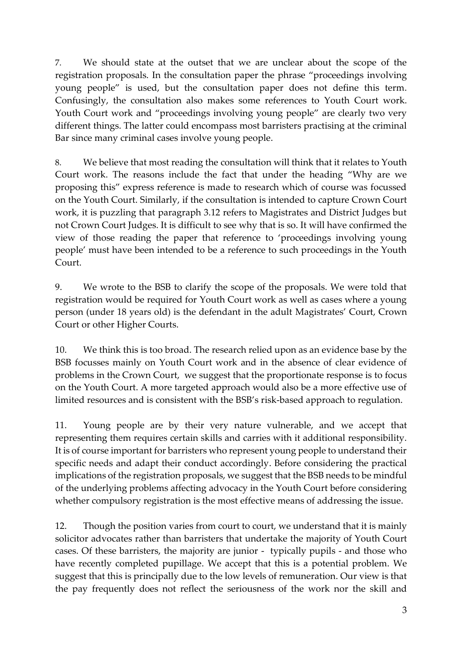7. We should state at the outset that we are unclear about the scope of the registration proposals. In the consultation paper the phrase "proceedings involving young people" is used, but the consultation paper does not define this term. Confusingly, the consultation also makes some references to Youth Court work. Youth Court work and "proceedings involving young people" are clearly two very different things. The latter could encompass most barristers practising at the criminal Bar since many criminal cases involve young people.

8. We believe that most reading the consultation will think that it relates to Youth Court work. The reasons include the fact that under the heading "Why are we proposing this" express reference is made to research which of course was focussed on the Youth Court. Similarly, if the consultation is intended to capture Crown Court work, it is puzzling that paragraph 3.12 refers to Magistrates and District Judges but not Crown Court Judges. It is difficult to see why that is so. It will have confirmed the view of those reading the paper that reference to 'proceedings involving young people' must have been intended to be a reference to such proceedings in the Youth Court.

9. We wrote to the BSB to clarify the scope of the proposals. We were told that registration would be required for Youth Court work as well as cases where a young person (under 18 years old) is the defendant in the adult Magistrates' Court, Crown Court or other Higher Courts.

10. We think this is too broad. The research relied upon as an evidence base by the BSB focusses mainly on Youth Court work and in the absence of clear evidence of problems in the Crown Court, we suggest that the proportionate response is to focus on the Youth Court. A more targeted approach would also be a more effective use of limited resources and is consistent with the BSB's risk-based approach to regulation.

11. Young people are by their very nature vulnerable, and we accept that representing them requires certain skills and carries with it additional responsibility. It is of course important for barristers who represent young people to understand their specific needs and adapt their conduct accordingly. Before considering the practical implications of the registration proposals, we suggest that the BSB needs to be mindful of the underlying problems affecting advocacy in the Youth Court before considering whether compulsory registration is the most effective means of addressing the issue.

12. Though the position varies from court to court, we understand that it is mainly solicitor advocates rather than barristers that undertake the majority of Youth Court cases. Of these barristers, the majority are junior - typically pupils - and those who have recently completed pupillage. We accept that this is a potential problem. We suggest that this is principally due to the low levels of remuneration. Our view is that the pay frequently does not reflect the seriousness of the work nor the skill and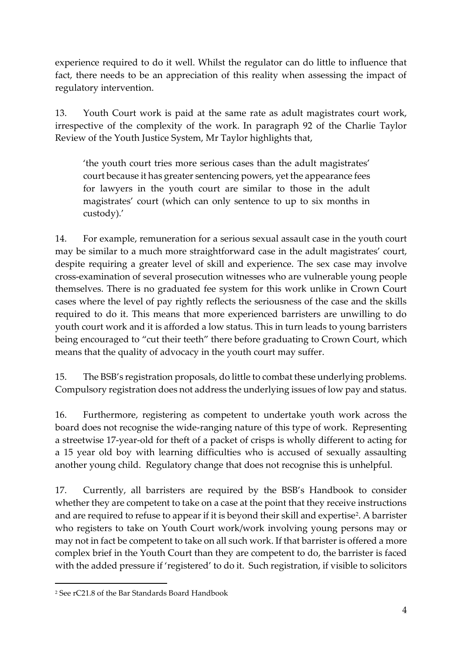experience required to do it well. Whilst the regulator can do little to influence that fact, there needs to be an appreciation of this reality when assessing the impact of regulatory intervention.

13. Youth Court work is paid at the same rate as adult magistrates court work, irrespective of the complexity of the work. In paragraph 92 of the Charlie Taylor Review of the Youth Justice System, Mr Taylor highlights that,

'the youth court tries more serious cases than the adult magistrates' court because it has greater sentencing powers, yet the appearance fees for lawyers in the youth court are similar to those in the adult magistrates' court (which can only sentence to up to six months in custody).'

14. For example, remuneration for a serious sexual assault case in the youth court may be similar to a much more straightforward case in the adult magistrates' court, despite requiring a greater level of skill and experience. The sex case may involve cross-examination of several prosecution witnesses who are vulnerable young people themselves. There is no graduated fee system for this work unlike in Crown Court cases where the level of pay rightly reflects the seriousness of the case and the skills required to do it. This means that more experienced barristers are unwilling to do youth court work and it is afforded a low status. This in turn leads to young barristers being encouraged to "cut their teeth" there before graduating to Crown Court, which means that the quality of advocacy in the youth court may suffer.

15. The BSB's registration proposals, do little to combat these underlying problems. Compulsory registration does not address the underlying issues of low pay and status.

16. Furthermore, registering as competent to undertake youth work across the board does not recognise the wide-ranging nature of this type of work. Representing a streetwise 17-year-old for theft of a packet of crisps is wholly different to acting for a 15 year old boy with learning difficulties who is accused of sexually assaulting another young child. Regulatory change that does not recognise this is unhelpful.

17. Currently, all barristers are required by the BSB's Handbook to consider whether they are competent to take on a case at the point that they receive instructions and are required to refuse to appear if it is beyond their skill and expertise<sup>2</sup>. A barrister who registers to take on Youth Court work/work involving young persons may or may not in fact be competent to take on all such work. If that barrister is offered a more complex brief in the Youth Court than they are competent to do, the barrister is faced with the added pressure if 'registered' to do it. Such registration, if visible to solicitors

l

<sup>2</sup> See rC21.8 of the Bar Standards Board Handbook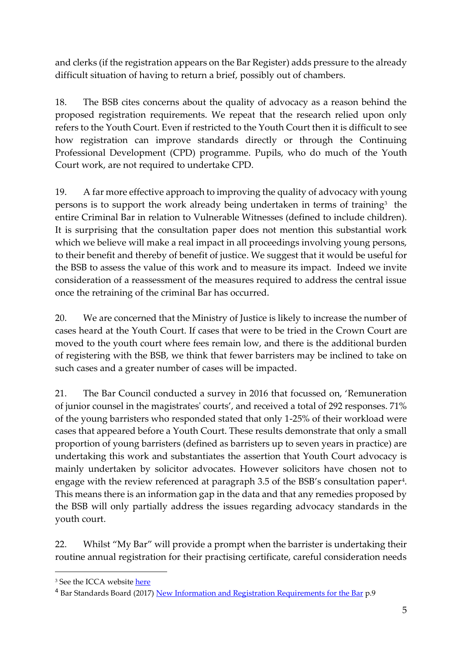and clerks (if the registration appears on the Bar Register) adds pressure to the already difficult situation of having to return a brief, possibly out of chambers.

18. The BSB cites concerns about the quality of advocacy as a reason behind the proposed registration requirements. We repeat that the research relied upon only refers to the Youth Court. Even if restricted to the Youth Court then it is difficult to see how registration can improve standards directly or through the Continuing Professional Development (CPD) programme. Pupils, who do much of the Youth Court work, are not required to undertake CPD.

19. A far more effective approach to improving the quality of advocacy with young persons is to support the work already being undertaken in terms of training<sup>3</sup> the entire Criminal Bar in relation to Vulnerable Witnesses (defined to include children). It is surprising that the consultation paper does not mention this substantial work which we believe will make a real impact in all proceedings involving young persons, to their benefit and thereby of benefit of justice. We suggest that it would be useful for the BSB to assess the value of this work and to measure its impact. Indeed we invite consideration of a reassessment of the measures required to address the central issue once the retraining of the criminal Bar has occurred.

20. We are concerned that the Ministry of Justice is likely to increase the number of cases heard at the Youth Court. If cases that were to be tried in the Crown Court are moved to the youth court where fees remain low, and there is the additional burden of registering with the BSB, we think that fewer barristers may be inclined to take on such cases and a greater number of cases will be impacted.

21. The Bar Council conducted a survey in 2016 that focussed on, 'Remuneration of junior counsel in the magistrates' courts', and received a total of 292 responses. 71% of the young barristers who responded stated that only 1-25% of their workload were cases that appeared before a Youth Court. These results demonstrate that only a small proportion of young barristers (defined as barristers up to seven years in practice) are undertaking this work and substantiates the assertion that Youth Court advocacy is mainly undertaken by solicitor advocates. However solicitors have chosen not to engage with the review referenced at paragraph 3.5 of the BSB's consultation paper<sup>4</sup> . This means there is an information gap in the data and that any remedies proposed by the BSB will only partially address the issues regarding advocacy standards in the youth court.

22. Whilst "My Bar" will provide a prompt when the barrister is undertaking their routine annual registration for their practising certificate, careful consideration needs

 $\overline{a}$ 

<sup>&</sup>lt;sup>3</sup> See the ICCA website [here](https://www.icca.ac.uk/advocacy-the-vulnerable)

<sup>&</sup>lt;sup>4</sup> Bar Standards Board (2017) [New Information and Registration Requirements for the Bar](https://www.barstandardsboard.org.uk/media/1834166/draft_consultation_paper__006__jwrwchem_amendments_v3.pdf) p.9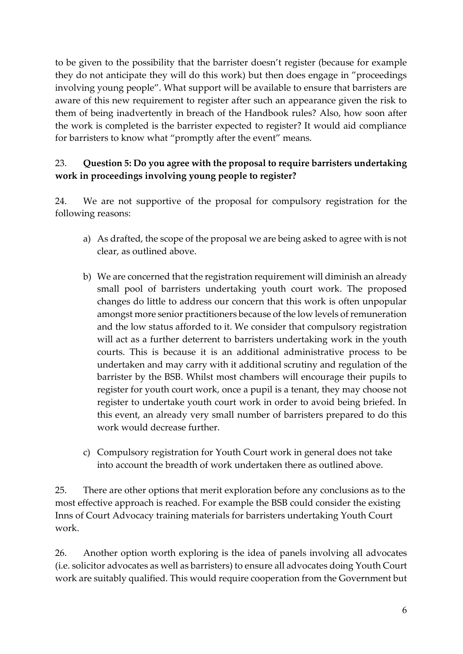to be given to the possibility that the barrister doesn't register (because for example they do not anticipate they will do this work) but then does engage in "proceedings involving young people". What support will be available to ensure that barristers are aware of this new requirement to register after such an appearance given the risk to them of being inadvertently in breach of the Handbook rules? Also, how soon after the work is completed is the barrister expected to register? It would aid compliance for barristers to know what "promptly after the event" means.

# 23. **Question 5: Do you agree with the proposal to require barristers undertaking work in proceedings involving young people to register?**

24. We are not supportive of the proposal for compulsory registration for the following reasons:

- a) As drafted, the scope of the proposal we are being asked to agree with is not clear, as outlined above.
- b) We are concerned that the registration requirement will diminish an already small pool of barristers undertaking youth court work. The proposed changes do little to address our concern that this work is often unpopular amongst more senior practitioners because of the low levels of remuneration and the low status afforded to it. We consider that compulsory registration will act as a further deterrent to barristers undertaking work in the youth courts. This is because it is an additional administrative process to be undertaken and may carry with it additional scrutiny and regulation of the barrister by the BSB. Whilst most chambers will encourage their pupils to register for youth court work, once a pupil is a tenant, they may choose not register to undertake youth court work in order to avoid being briefed. In this event, an already very small number of barristers prepared to do this work would decrease further.
- c) Compulsory registration for Youth Court work in general does not take into account the breadth of work undertaken there as outlined above.

25. There are other options that merit exploration before any conclusions as to the most effective approach is reached. For example the BSB could consider the existing Inns of Court Advocacy training materials for barristers undertaking Youth Court work.

26. Another option worth exploring is the idea of panels involving all advocates (i.e. solicitor advocates as well as barristers) to ensure all advocates doing Youth Court work are suitably qualified. This would require cooperation from the Government but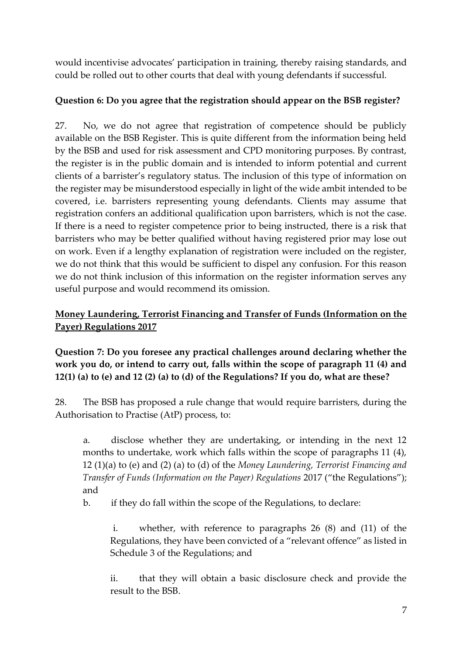would incentivise advocates' participation in training, thereby raising standards, and could be rolled out to other courts that deal with young defendants if successful.

# **Question 6: Do you agree that the registration should appear on the BSB register?**

27. No, we do not agree that registration of competence should be publicly available on the BSB Register. This is quite different from the information being held by the BSB and used for risk assessment and CPD monitoring purposes. By contrast, the register is in the public domain and is intended to inform potential and current clients of a barrister's regulatory status. The inclusion of this type of information on the register may be misunderstood especially in light of the wide ambit intended to be covered, i.e. barristers representing young defendants. Clients may assume that registration confers an additional qualification upon barristers, which is not the case. If there is a need to register competence prior to being instructed, there is a risk that barristers who may be better qualified without having registered prior may lose out on work. Even if a lengthy explanation of registration were included on the register, we do not think that this would be sufficient to dispel any confusion. For this reason we do not think inclusion of this information on the register information serves any useful purpose and would recommend its omission.

# **Money Laundering, Terrorist Financing and Transfer of Funds (Information on the Payer) Regulations 2017**

# **Question 7: Do you foresee any practical challenges around declaring whether the work you do, or intend to carry out, falls within the scope of paragraph 11 (4) and 12(1) (a) to (e) and 12 (2) (a) to (d) of the Regulations? If you do, what are these?**

28. The BSB has proposed a rule change that would require barristers, during the Authorisation to Practise (AtP) process, to:

a. disclose whether they are undertaking, or intending in the next 12 months to undertake, work which falls within the scope of paragraphs 11 (4), 12 (1)(a) to (e) and (2) (a) to (d) of the *Money Laundering, Terrorist Financing and Transfer of Funds (Information on the Payer) Regulations* 2017 ("the Regulations"); and

b. if they do fall within the scope of the Regulations, to declare:

i. whether, with reference to paragraphs 26 (8) and (11) of the Regulations, they have been convicted of a "relevant offence" as listed in Schedule 3 of the Regulations; and

ii. that they will obtain a basic disclosure check and provide the result to the BSB.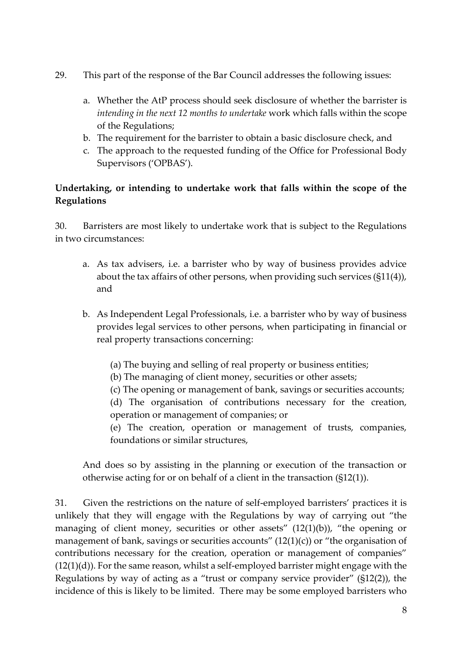- 29. This part of the response of the Bar Council addresses the following issues:
	- a. Whether the AtP process should seek disclosure of whether the barrister is *intending in the next 12 months to undertake* work which falls within the scope of the Regulations;
	- b. The requirement for the barrister to obtain a basic disclosure check, and
	- c. The approach to the requested funding of the Office for Professional Body Supervisors ('OPBAS').

### **Undertaking, or intending to undertake work that falls within the scope of the Regulations**

30. Barristers are most likely to undertake work that is subject to the Regulations in two circumstances:

- a. As tax advisers, i.e. a barrister who by way of business provides advice about the tax affairs of other persons, when providing such services (§11(4)), and
- b. As Independent Legal Professionals, i.e. a barrister who by way of business provides legal services to other persons, when participating in financial or real property transactions concerning:
	- (a) The buying and selling of real property or business entities;
	- (b) The managing of client money, securities or other assets;
	- (c) The opening or management of bank, savings or securities accounts;

(d) The organisation of contributions necessary for the creation, operation or management of companies; or

(e) The creation, operation or management of trusts, companies, foundations or similar structures,

And does so by assisting in the planning or execution of the transaction or otherwise acting for or on behalf of a client in the transaction (§12(1)).

31. Given the restrictions on the nature of self-employed barristers' practices it is unlikely that they will engage with the Regulations by way of carrying out "the managing of client money, securities or other assets"  $(12(1)(b))$ , "the opening or management of bank, savings or securities accounts"  $(12(1)(c))$  or "the organisation of contributions necessary for the creation, operation or management of companies"  $(12(1)(d))$ . For the same reason, whilst a self-employed barrister might engage with the Regulations by way of acting as a "trust or company service provider" (§12(2)), the incidence of this is likely to be limited. There may be some employed barristers who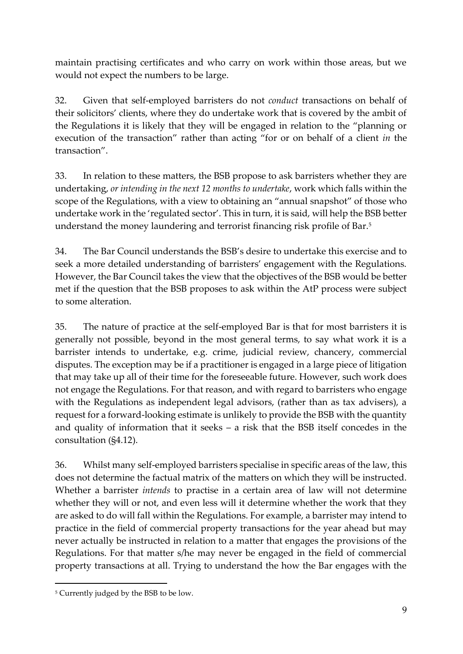maintain practising certificates and who carry on work within those areas, but we would not expect the numbers to be large.

32. Given that self-employed barristers do not *conduct* transactions on behalf of their solicitors' clients, where they do undertake work that is covered by the ambit of the Regulations it is likely that they will be engaged in relation to the "planning or execution of the transaction" rather than acting "for or on behalf of a client *in* the transaction".

33. In relation to these matters, the BSB propose to ask barristers whether they are undertaking, *or intending in the next 12 months to undertake*, work which falls within the scope of the Regulations, with a view to obtaining an "annual snapshot" of those who undertake work in the 'regulated sector'. This in turn, it is said, will help the BSB better understand the money laundering and terrorist financing risk profile of Bar.<sup>5</sup>

34. The Bar Council understands the BSB's desire to undertake this exercise and to seek a more detailed understanding of barristers' engagement with the Regulations. However, the Bar Council takes the view that the objectives of the BSB would be better met if the question that the BSB proposes to ask within the AtP process were subject to some alteration.

35. The nature of practice at the self-employed Bar is that for most barristers it is generally not possible, beyond in the most general terms, to say what work it is a barrister intends to undertake, e.g. crime, judicial review, chancery, commercial disputes. The exception may be if a practitioner is engaged in a large piece of litigation that may take up all of their time for the foreseeable future. However, such work does not engage the Regulations. For that reason, and with regard to barristers who engage with the Regulations as independent legal advisors, (rather than as tax advisers), a request for a forward-looking estimate is unlikely to provide the BSB with the quantity and quality of information that it seeks – a risk that the BSB itself concedes in the consultation (§4.12).

36. Whilst many self-employed barristers specialise in specific areas of the law, this does not determine the factual matrix of the matters on which they will be instructed. Whether a barrister *intends* to practise in a certain area of law will not determine whether they will or not, and even less will it determine whether the work that they are asked to do will fall within the Regulations. For example, a barrister may intend to practice in the field of commercial property transactions for the year ahead but may never actually be instructed in relation to a matter that engages the provisions of the Regulations. For that matter s/he may never be engaged in the field of commercial property transactions at all. Trying to understand the how the Bar engages with the

l

<sup>5</sup> Currently judged by the BSB to be low.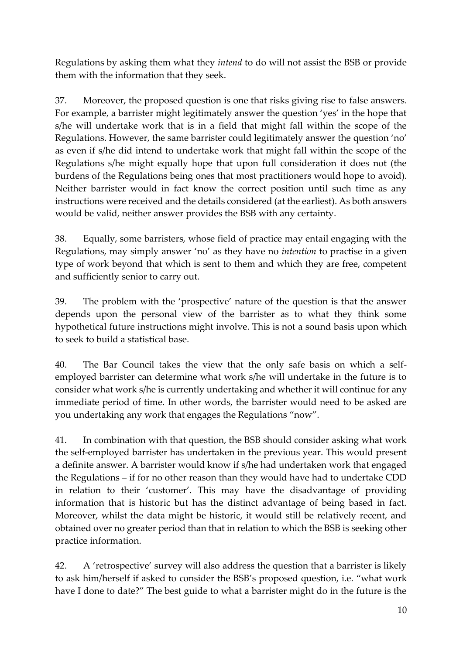Regulations by asking them what they *intend* to do will not assist the BSB or provide them with the information that they seek.

37. Moreover, the proposed question is one that risks giving rise to false answers. For example, a barrister might legitimately answer the question 'yes' in the hope that s/he will undertake work that is in a field that might fall within the scope of the Regulations. However, the same barrister could legitimately answer the question 'no' as even if s/he did intend to undertake work that might fall within the scope of the Regulations s/he might equally hope that upon full consideration it does not (the burdens of the Regulations being ones that most practitioners would hope to avoid). Neither barrister would in fact know the correct position until such time as any instructions were received and the details considered (at the earliest). As both answers would be valid, neither answer provides the BSB with any certainty.

38. Equally, some barristers, whose field of practice may entail engaging with the Regulations, may simply answer 'no' as they have no *intention* to practise in a given type of work beyond that which is sent to them and which they are free, competent and sufficiently senior to carry out.

39. The problem with the 'prospective' nature of the question is that the answer depends upon the personal view of the barrister as to what they think some hypothetical future instructions might involve. This is not a sound basis upon which to seek to build a statistical base.

40. The Bar Council takes the view that the only safe basis on which a selfemployed barrister can determine what work s/he will undertake in the future is to consider what work s/he is currently undertaking and whether it will continue for any immediate period of time. In other words, the barrister would need to be asked are you undertaking any work that engages the Regulations "now".

41. In combination with that question, the BSB should consider asking what work the self-employed barrister has undertaken in the previous year. This would present a definite answer. A barrister would know if s/he had undertaken work that engaged the Regulations – if for no other reason than they would have had to undertake CDD in relation to their 'customer'. This may have the disadvantage of providing information that is historic but has the distinct advantage of being based in fact. Moreover, whilst the data might be historic, it would still be relatively recent, and obtained over no greater period than that in relation to which the BSB is seeking other practice information.

42. A 'retrospective' survey will also address the question that a barrister is likely to ask him/herself if asked to consider the BSB's proposed question, i.e. "what work have I done to date?" The best guide to what a barrister might do in the future is the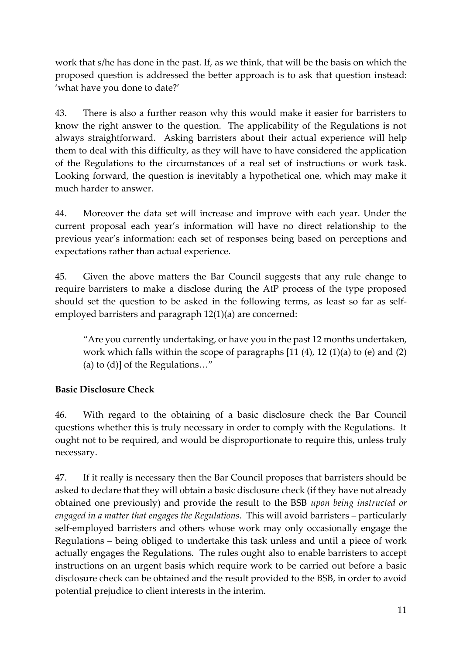work that s/he has done in the past. If, as we think, that will be the basis on which the proposed question is addressed the better approach is to ask that question instead: 'what have you done to date?'

43. There is also a further reason why this would make it easier for barristers to know the right answer to the question. The applicability of the Regulations is not always straightforward. Asking barristers about their actual experience will help them to deal with this difficulty, as they will have to have considered the application of the Regulations to the circumstances of a real set of instructions or work task. Looking forward, the question is inevitably a hypothetical one, which may make it much harder to answer.

44. Moreover the data set will increase and improve with each year. Under the current proposal each year's information will have no direct relationship to the previous year's information: each set of responses being based on perceptions and expectations rather than actual experience.

45. Given the above matters the Bar Council suggests that any rule change to require barristers to make a disclose during the AtP process of the type proposed should set the question to be asked in the following terms, as least so far as selfemployed barristers and paragraph 12(1)(a) are concerned:

"Are you currently undertaking, or have you in the past 12 months undertaken, work which falls within the scope of paragraphs [11 (4), 12 (1)(a) to (e) and (2) (a) to (d)] of the Regulations…"

### **Basic Disclosure Check**

46. With regard to the obtaining of a basic disclosure check the Bar Council questions whether this is truly necessary in order to comply with the Regulations. It ought not to be required, and would be disproportionate to require this, unless truly necessary.

47. If it really is necessary then the Bar Council proposes that barristers should be asked to declare that they will obtain a basic disclosure check (if they have not already obtained one previously) and provide the result to the BSB *upon being instructed or engaged in a matter that engages the Regulations*. This will avoid barristers – particularly self-employed barristers and others whose work may only occasionally engage the Regulations – being obliged to undertake this task unless and until a piece of work actually engages the Regulations. The rules ought also to enable barristers to accept instructions on an urgent basis which require work to be carried out before a basic disclosure check can be obtained and the result provided to the BSB, in order to avoid potential prejudice to client interests in the interim.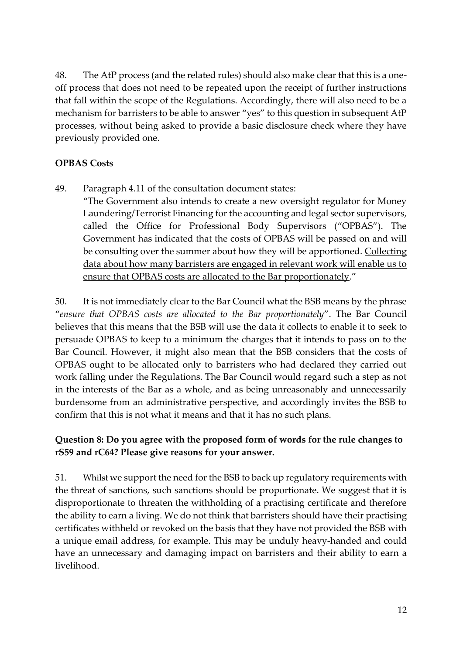48. The AtP process (and the related rules) should also make clear that this is a oneoff process that does not need to be repeated upon the receipt of further instructions that fall within the scope of the Regulations. Accordingly, there will also need to be a mechanism for barristers to be able to answer "yes" to this question in subsequent AtP processes, without being asked to provide a basic disclosure check where they have previously provided one.

#### **OPBAS Costs**

49. Paragraph 4.11 of the consultation document states: "The Government also intends to create a new oversight regulator for Money Laundering/Terrorist Financing for the accounting and legal sector supervisors, called the Office for Professional Body Supervisors ("OPBAS"). The Government has indicated that the costs of OPBAS will be passed on and will be consulting over the summer about how they will be apportioned. Collecting data about how many barristers are engaged in relevant work will enable us to ensure that OPBAS costs are allocated to the Bar proportionately."

50. It is not immediately clear to the Bar Council what the BSB means by the phrase "*ensure that OPBAS costs are allocated to the Bar proportionately*". The Bar Council believes that this means that the BSB will use the data it collects to enable it to seek to persuade OPBAS to keep to a minimum the charges that it intends to pass on to the Bar Council. However, it might also mean that the BSB considers that the costs of OPBAS ought to be allocated only to barristers who had declared they carried out work falling under the Regulations. The Bar Council would regard such a step as not in the interests of the Bar as a whole, and as being unreasonably and unnecessarily burdensome from an administrative perspective, and accordingly invites the BSB to confirm that this is not what it means and that it has no such plans.

### **Question 8: Do you agree with the proposed form of words for the rule changes to rS59 and rC64? Please give reasons for your answer.**

51. Whilst we support the need for the BSB to back up regulatory requirements with the threat of sanctions, such sanctions should be proportionate. We suggest that it is disproportionate to threaten the withholding of a practising certificate and therefore the ability to earn a living. We do not think that barristers should have their practising certificates withheld or revoked on the basis that they have not provided the BSB with a unique email address, for example. This may be unduly heavy-handed and could have an unnecessary and damaging impact on barristers and their ability to earn a livelihood.